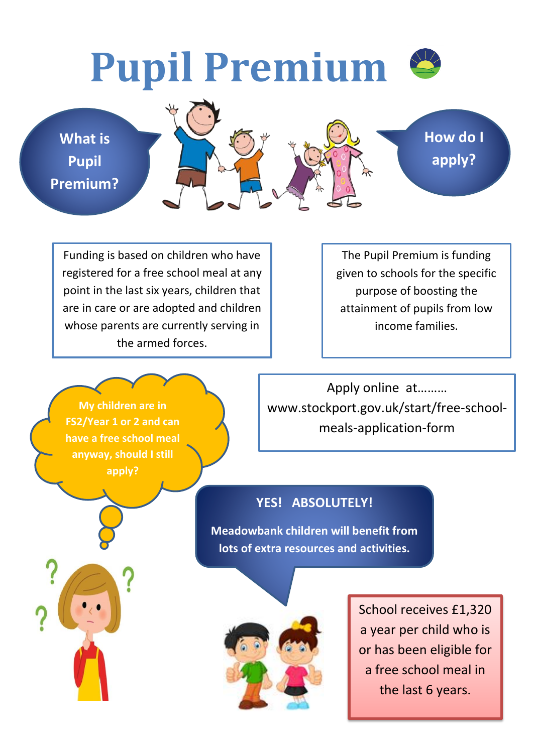## **Pupil Premium**

**What is Pupil Premium?**



**How do I apply?**

Funding is based on children who have registered for a free school meal at any point in the last six years, children that are in care or are adopted and children whose parents are currently serving in the armed forces.

The Pupil Premium is funding given to schools for the specific purpose of boosting the attainment of pupils from low income families.

**My children are in FS2/Year 1 or 2 and can have a free school meal anyway, should I still apply?**

Apply online at……… www.stockport.gov.uk/start/free-schoolmeals-application-form

## **YES! ABSOLUTELY!**

**Meadowbank children will benefit from lots of extra resources and activities.**



School receives £1,320 a year per child who is or has been eligible for a free school meal in the last 6 years.